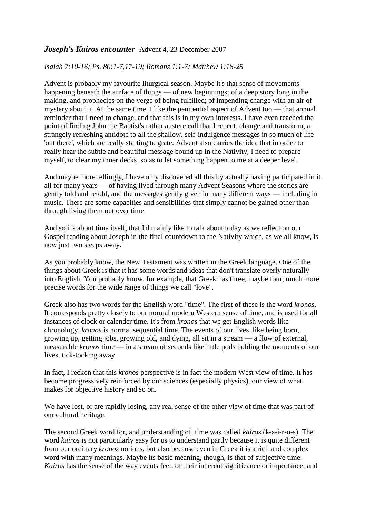## *Joseph's Kairos encounter*Advent 4, 23 December 2007

## *Isaiah 7:10-16; Ps. 80:1-7,17-19; Romans 1:1-7; Matthew 1:18-25*

Advent is probably my favourite liturgical season. Maybe it's that sense of movements happening beneath the surface of things — of new beginnings; of a deep story long in the making, and prophecies on the verge of being fulfilled; of impending change with an air of mystery about it. At the same time, I like the penitential aspect of Advent too — that annual reminder that I need to change, and that this is in my own interests. I have even reached the point of finding John the Baptist's rather austere call that I repent, change and transform, a strangely refreshing antidote to all the shallow, self-indulgence messages in so much of life 'out there', which are really starting to grate. Advent also carries the idea that in order to really hear the subtle and beautiful message bound up in the Nativity, I need to prepare myself, to clear my inner decks, so as to let something happen to me at a deeper level.

And maybe more tellingly, I have only discovered all this by actually having participated in it all for many years — of having lived through many Advent Seasons where the stories are gently told and retold, and the messages gently given in many different ways — including in music. There are some capacities and sensibilities that simply cannot be gained other than through living them out over time.

And so it's about time itself, that I'd mainly like to talk about today as we reflect on our Gospel reading about Joseph in the final countdown to the Nativity which, as we all know, is now just two sleeps away.

As you probably know, the New Testament was written in the Greek language. One of the things about Greek is that it has some words and ideas that don't translate overly naturally into English. You probably know, for example, that Greek has three, maybe four, much more precise words for the wide range of things we call "love".

Greek also has two words for the English word "time". The first of these is the word *kronos*. It corresponds pretty closely to our normal modern Western sense of time, and is used for all instances of clock or calender time. It's from *kronos* that we get English words like chronology. *kronos* is normal sequential time. The events of our lives, like being born, growing up, getting jobs, growing old, and dying, all sit in a stream — a flow of external, measurable *kronos* time — in a stream of seconds like little pods holding the moments of our lives, tick-tocking away.

In fact, I reckon that this *kronos* perspective is in fact the modern West view of time. It has become progressively reinforced by our sciences (especially physics), our view of what makes for objective history and so on.

We have lost, or are rapidly losing, any real sense of the other view of time that was part of our cultural heritage.

The second Greek word for, and understanding of, time was called *kairos* (k-a-i-r-o-s). The word *kairos* is not particularly easy for us to understand partly because it is quite different from our ordinary *kronos* notions, but also because even in Greek it is a rich and complex word with many meanings. Maybe its basic meaning, though, is that of subjective time. *Kairos* has the sense of the way events feel; of their inherent significance or importance; and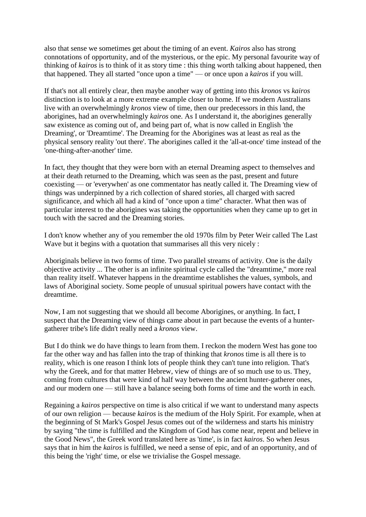also that sense we sometimes get about the timing of an event. *Kairos* also has strong connotations of opportunity, and of the mysterious, or the epic. My personal favourite way of thinking of *kairos* is to think of it as story time : this thing worth talking about happened, then that happened. They all started "once upon a time" — or once upon a *kairos* if you will.

If that's not all entirely clear, then maybe another way of getting into this *kronos* vs *kairos* distinction is to look at a more extreme example closer to home. If we modern Australians live with an overwhelmingly *kronos* view of time, then our predecessors in this land, the aborigines, had an overwhelmingly *kairos* one. As I understand it, the aborigines generally saw existence as coming out of, and being part of, what is now called in English 'the Dreaming', or 'Dreamtime'. The Dreaming for the Aborigines was at least as real as the physical sensory reality 'out there'. The aborigines called it the 'all-at-once' time instead of the 'one-thing-after-another' time.

In fact, they thought that they were born with an eternal Dreaming aspect to themselves and at their death returned to the Dreaming, which was seen as the past, present and future coexisting — or 'everywhen' as one commentator has neatly called it. The Dreaming view of things was underpinned by a rich collection of shared stories, all charged with sacred significance, and which all had a kind of "once upon a time" character. What then was of particular interest to the aborigines was taking the opportunities when they came up to get in touch with the sacred and the Dreaming stories.

I don't know whether any of you remember the old 1970s film by Peter Weir called The Last Wave but it begins with a quotation that summarises all this very nicely :

Aboriginals believe in two forms of time. Two parallel streams of activity. One is the daily objective activity ... The other is an infinite spiritual cycle called the "dreamtime," more real than reality itself. Whatever happens in the dreamtime establishes the values, symbols, and laws of Aboriginal society. Some people of unusual spiritual powers have contact with the dreamtime.

Now, I am not suggesting that we should all become Aborigines, or anything. In fact, I suspect that the Dreaming view of things came about in part because the events of a huntergatherer tribe's life didn't really need a *kronos* view.

But I do think we do have things to learn from them. I reckon the modern West has gone too far the other way and has fallen into the trap of thinking that *kronos* time is all there is to reality, which is one reason I think lots of people think they can't tune into religion. That's why the Greek, and for that matter Hebrew, view of things are of so much use to us. They, coming from cultures that were kind of half way between the ancient hunter-gatherer ones, and our modern one — still have a balance seeing both forms of time and the worth in each.

Regaining a *kairos* perspective on time is also critical if we want to understand many aspects of our own religion — because *kairos* is the medium of the Holy Spirit. For example, when at the beginning of St Mark's Gospel Jesus comes out of the wilderness and starts his ministry by saying "the time is fulfilled and the Kingdom of God has come near, repent and believe in the Good News", the Greek word translated here as 'time', is in fact *kairos*. So when Jesus says that in him the *kairos* is fulfilled, we need a sense of epic, and of an opportunity, and of this being the 'right' time, or else we trivialise the Gospel message.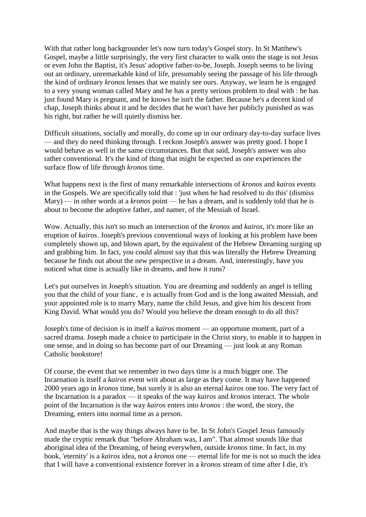With that rather long backgrounder let's now turn today's Gospel story. In St Matthew's Gospel, maybe a little surprisingly, the very first character to walk onto the stage is not Jesus or even John the Baptist, it's Jesus' adoptive father-to-be, Joseph. Joseph seems to be living out an ordinary, unremarkable kind of life, presumably seeing the passage of his life through the kind of ordinary *kronos* lenses that we mainly see ours. Anyway, we learn he is engaged to a very young woman called Mary and he has a pretty serious problem to deal with : he has just found Mary is pregnant, and he knows he isn't the father. Because he's a decent kind of chap, Joseph thinks about it and he decides that he won't have her publicly punished as was his right, but rather he will quietly dismiss her.

Difficult situations, socially and morally, do come up in our ordinary day-to-day surface lives — and they do need thinking through. I reckon Joseph's answer was pretty good. I hope I would behave as well in the same circumstances. But that said, Joseph's answer was also rather conventional. It's the kind of thing that might be expected as one experiences the surface flow of life through *kronos* time.

What happens next is the first of many remarkable intersections of *kronos* and *kairos* events in the Gospels. We are specifically told that : 'just when he had resolved to do this' (dismiss Mary) — in other words at a *kronos* point — he has a dream, and is suddenly told that he is about to become the adoptive father, and namer, of the Messiah of Israel.

Wow. Actually, this isn't so much an intersection of the *kronos* and *kairos*, it's more like an eruption of *kairos*. Joseph's previous conventional ways of looking at his problem have been completely shown up, and blown apart, by the equivalent of the Hebrew Dreaming surging up and grabbing him. In fact, you could almost say that this was literally the Hebrew Dreaming because he finds out about the new perspective in a dream. And, interestingly, have you noticed what time is actually like in dreams, and how it runs?

Let's put ourselves in Joseph's situation. You are dreaming and suddenly an angel is telling you that the child of your fianc, e is actually from God and is the long awaited Messiah, and your appointed role is to marry Mary, name the child Jesus, and give him his descent from King David. What would you do? Would you believe the dream enough to do all this?

Joseph's time of decision is in itself a *kairos* moment — an opportune moment, part of a sacred drama. Joseph made a choice to participate in the Christ story, to enable it to happen in one sense, and in doing so has become part of our Dreaming — just look at any Roman Catholic bookstore!

Of course, the event that we remember in two days time is a much bigger one. The Incarnation is itself a *kairos* event writ about as large as they come. It may have happened 2000 years ago in *kronos* time, but surely it is also an eternal *kairos* one too. The very fact of the Incarnation is a paradox — it speaks of the way *kairos* and *kronos* interact. The whole point of the Incarnation is the way *kairos* enters into *kronos* : the word, the story, the Dreaming, enters into normal time as a person.

And maybe that is the way things always have to be. In St John's Gospel Jesus famously made the cryptic remark that "before Abraham was, I am". That almost sounds like that aboriginal idea of the Dreaming, of being everywhen, outside *kronos* time. In fact, in my book, 'eternity' is a *kairos* idea, not a *kronos* one — eternal life for me is not so much the idea that I will have a conventional existence forever in a *kronos* stream of time after I die, it's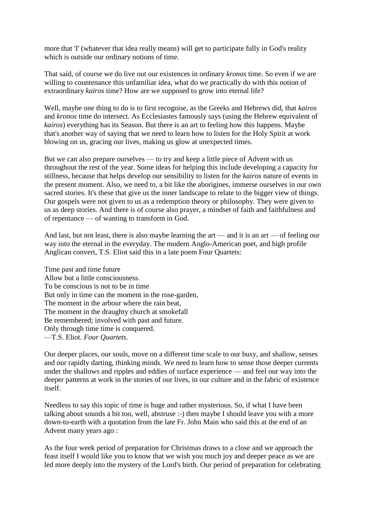more that 'I' (whatever that idea really means) will get to participate fully in God's reality which is outside our ordinary notions of time.

That said, of course we do live out our existences in ordinary *kronos* time. So even if we are willing to countenance this unfamiliar idea, what do we practically do with this notion of extraordinary *kairos* time? How are we supposed to grow into eternal life?

Well, maybe one thing to do is to first recognise, as the Greeks and Hebrews did, that *kairos* and *kronos* time do intersect. As Ecclesiastes famously says (using the Hebrew equivalent of *kairos*) everything has its Season. But there is an art to feeling how this happens. Maybe that's another way of saying that we need to learn how to listen for the Holy Spirit at work blowing on us, gracing our lives, making us glow at unexpected times.

But we can also prepare ourselves — to try and keep a little piece of Advent with us throughout the rest of the year. Some ideas for helping this include developing a capacity for stillness, because that helps develop our sensibility to listen for the *kairos* nature of events in the present moment. Also, we need to, a bit like the aborigines, immerse ourselves in our own sacred stories. It's these that give us the inner landscape to relate to the bigger view of things. Our gospels were not given to us as a redemption theory or philosophy. They were given to us as deep stories. And there is of course also prayer, a mindset of faith and faithfulness and of repentance — of wanting to transform in God.

And last, but not least, there is also maybe learning the art — and it is an art — of feeling our way into the eternal in the everyday. The modern Anglo-American poet, and high profile Anglican convert, T.S. Eliot said this in a late poem Four Quartets:

Time past and time future Allow but a little consciousness. To be conscious is not to be in time But only in time can the moment in the rose-garden, The moment in the arbour where the rain beat, The moment in the draughty church at smokefall Be remembered; involved with past and future. Only through time time is conquered. —T.S. Eliot. *Four Quartets*.

Our deeper places, our souls, move on a different time scale to our busy, and shallow, senses and our rapidly darting, thinking minds. We need to learn how to sense those deeper currents under the shallows and ripples and eddies of surface experience — and feel our way into the deeper patterns at work in the stories of our lives, in our culture and in the fabric of existence itself.

Needless to say this topic of time is huge and rather mysterious. So, if what I have been talking about sounds a bit too, well, abstruse :-) then maybe I should leave you with a more down-to-earth with a quotation from the late Fr. John Main who said this at the end of an Advent many years ago :

As the four week period of preparation for Christmas draws to a close and we approach the feast itself I would like you to know that we wish you much joy and deeper peace as we are led more deeply into the mystery of the Lord's birth. Our period of preparation for celebrating